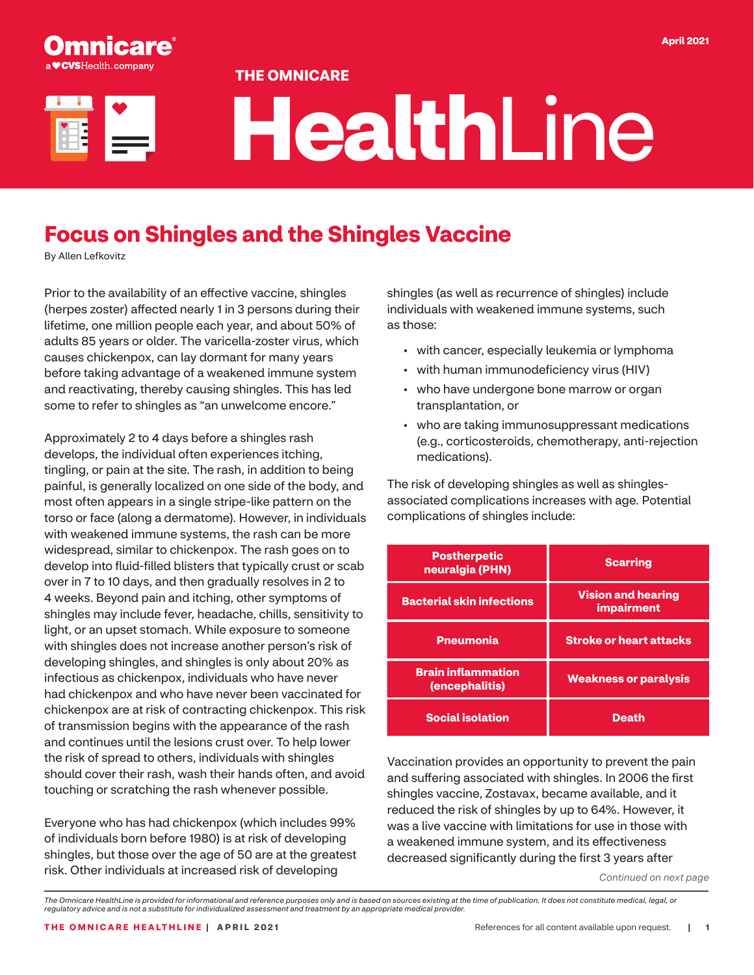#### **THE OMNICARE**

**inicare** 

# **Health**Line

## **Focus on Shingles and the Shingles Vaccine**

By Allen Lefkovitz

Prior to the availability of an effective vaccine, shingles (herpes zoster) affected nearly 1 in 3 persons during their lifetime, one million people each year, and about 50% of adults 85 years or older. The varicella-zoster virus, which causes chickenpox, can lay dormant for many years before taking advantage of a weakened immune system and reactivating, thereby causing shingles. This has led some to refer to shingles as "an unwelcome encore."

Approximately 2 to 4 days before a shingles rash develops, the individual often experiences itching, tingling, or pain at the site. The rash, in addition to being painful, is generally localized on one side of the body, and most often appears in a single stripe-like pattern on the torso or face (along a dermatome). However, in individuals with weakened immune systems, the rash can be more widespread, similar to chickenpox. The rash goes on to develop into fluid-filled blisters that typically crust or scab over in 7 to 10 days, and then gradually resolves in 2 to 4 weeks. Beyond pain and itching, other symptoms of shingles may include fever, headache, chills, sensitivity to light, or an upset stomach. While exposure to someone with shingles does not increase another person's risk of developing shingles, and shingles is only about 20% as infectious as chickenpox, individuals who have never had chickenpox and who have never been vaccinated for chickenpox are at risk of contracting chickenpox. This risk of transmission begins with the appearance of the rash and continues until the lesions crust over. To help lower the risk of spread to others, individuals with shingles should cover their rash, wash their hands often, and avoid touching or scratching the rash whenever possible.

Everyone who has had chickenpox (which includes 99% of individuals born before 1980) is at risk of developing shingles, but those over the age of 50 are at the greatest risk. Other individuals at increased risk of developing

shingles (as well as recurrence of shingles) include individuals with weakened immune systems, such as those:

- with cancer, especially leukemia or lymphoma
- with human immunodeficiency virus (HIV)
- who have undergone bone marrow or organ transplantation, or
- who are taking immunosuppressant medications (e.g., corticosteroids, chemotherapy, anti-rejection medications).

The risk of developing shingles as well as shinglesassociated complications increases with age. Potential complications of shingles include:

| <b>Postherpetic</b><br>neuralgia (PHN)      | <b>Scarring</b>                                |  |
|---------------------------------------------|------------------------------------------------|--|
| <b>Bacterial skin infections</b>            | <b>Vision and hearing</b><br><i>impairment</i> |  |
| <b>Pneumonia</b>                            | <b>Stroke or heart attacks</b>                 |  |
| <b>Brain inflammation</b><br>(encephalitis) | <b>Weakness or paralysis</b>                   |  |
| <b>Social isolation</b>                     | <b>Death</b>                                   |  |

Vaccination provides an opportunity to prevent the pain and suffering associated with shingles. In 2006 the first shingles vaccine, Zostavax, became available, and it reduced the risk of shingles by up to 64%. However, it was a live vaccine with limitations for use in those with a weakened immune system, and its effectiveness decreased significantly during the first 3 years after

*Continued on next page*

*The Omnicare HealthLine is provided for informational and reference purposes only and is based on sources existing at the time of publication. It does not constitute medical, legal, or regulatory advice and is not a substitute for individualized assessment and treatment by an appropriate medical provider.*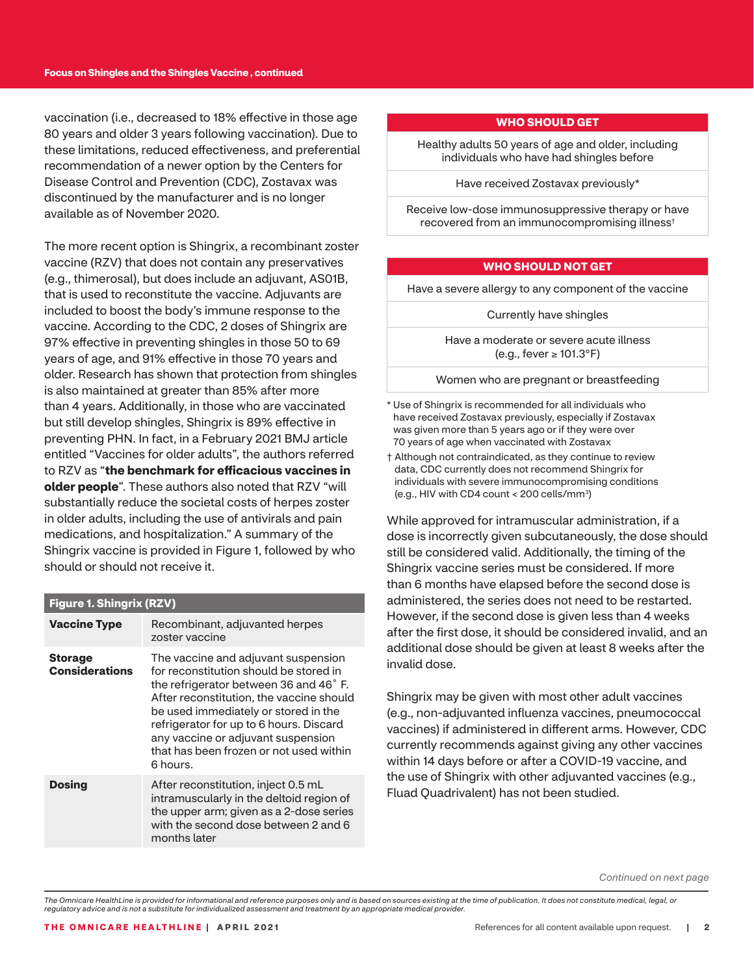vaccination (i.e., decreased to 18% effective in those age 80 years and older 3 years following vaccination). Due to these limitations, reduced effectiveness, and preferential recommendation of a newer option by the Centers for Disease Control and Prevention (CDC), Zostavax was discontinued by the manufacturer and is no longer available as of November 2020.

The more recent option is Shingrix, a recombinant zoster vaccine (RZV) that does not contain any preservatives (e.g., thimerosal), but does include an adjuvant, AS01B, that is used to reconstitute the vaccine. Adjuvants are included to boost the body's immune response to the vaccine. According to the CDC, 2 doses of Shingrix are 97% effective in preventing shingles in those 50 to 69 years of age, and 91% effective in those 70 years and older. Research has shown that protection from shingles is also maintained at greater than 85% after more than 4 years. Additionally, in those who are vaccinated but still develop shingles, Shingrix is 89% effective in preventing PHN. In fact, in a February 2021 BMJ article entitled "Vaccines for older adults", the authors referred to RZV as "**the benchmark for efficacious vaccines in older people**". These authors also noted that RZV "will substantially reduce the societal costs of herpes zoster in older adults, including the use of antivirals and pain medications, and hospitalization." A summary of the Shingrix vaccine is provided in Figure 1, followed by who should or should not receive it.

#### **Figure 1. Shingrix (RZV)**

| <b>Vaccine Type</b>                     | Recombinant, adjuvanted herpes<br>zoster vaccine                                                                                                                                                                                                                                                                                                   |
|-----------------------------------------|----------------------------------------------------------------------------------------------------------------------------------------------------------------------------------------------------------------------------------------------------------------------------------------------------------------------------------------------------|
| <b>Storage</b><br><b>Considerations</b> | The vaccine and adjuvant suspension<br>for reconstitution should be stored in<br>the refrigerator between 36 and 46°F.<br>After reconstitution, the vaccine should<br>be used immediately or stored in the<br>refrigerator for up to 6 hours. Discard<br>any vaccine or adjuvant suspension<br>that has been frozen or not used within<br>6 hours. |
| <b>Dosing</b>                           | After reconstitution, inject 0.5 mL<br>intramuscularly in the deltoid region of<br>the upper arm; given as a 2-dose series<br>with the second dose between 2 and 6<br>months later                                                                                                                                                                 |

#### **WHO SHOULD GET**

Healthy adults 50 years of age and older, including individuals who have had shingles before

Have received Zostavax previously\*

Receive low-dose immunosuppressive therapy or have recovered from an immunocompromising illness†

#### **WHO SHOULD NOT GET**

Have a severe allergy to any component of the vaccine

Currently have shingles

Have a moderate or severe acute illness (e.g., fever ≥ 101.3°F)

Women who are pregnant or breastfeeding

\* Use of Shingrix is recommended for all individuals who have received Zostavax previously, especially if Zostavax was given more than 5 years ago or if they were over 70 years of age when vaccinated with Zostavax

† Although not contraindicated, as they continue to review data, CDC currently does not recommend Shingrix for individuals with severe immunocompromising conditions (e.g., HIV with CD4 count < 200 cells/mm3)

While approved for intramuscular administration, if a dose is incorrectly given subcutaneously, the dose should still be considered valid. Additionally, the timing of the Shingrix vaccine series must be considered. If more than 6 months have elapsed before the second dose is administered, the series does not need to be restarted. However, if the second dose is given less than 4 weeks after the first dose, it should be considered invalid, and an additional dose should be given at least 8 weeks after the invalid dose.

Shingrix may be given with most other adult vaccines (e.g., non-adjuvanted influenza vaccines, pneumococcal vaccines) if administered in different arms. However, CDC currently recommends against giving any other vaccines within 14 days before or after a COVID-19 vaccine, and the use of Shingrix with other adjuvanted vaccines (e.g., Fluad Quadrivalent) has not been studied.

*Continued on next page*

*The Omnicare HealthLine is provided for informational and reference purposes only and is based on sources existing at the time of publication. It does not constitute medical, legal, or regulatory advice and is not a substitute for individualized assessment and treatment by an appropriate medical provider.*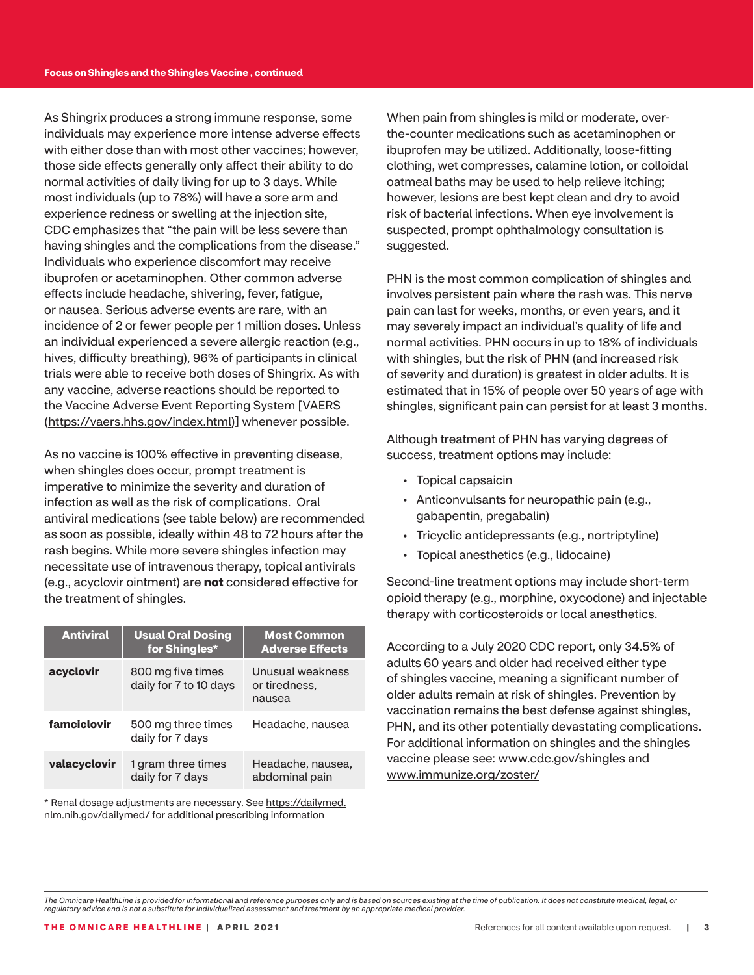As Shingrix produces a strong immune response, some individuals may experience more intense adverse effects with either dose than with most other vaccines; however, those side effects generally only affect their ability to do normal activities of daily living for up to 3 days. While most individuals (up to 78%) will have a sore arm and experience redness or swelling at the injection site, CDC emphasizes that "the pain will be less severe than having shingles and the complications from the disease." Individuals who experience discomfort may receive ibuprofen or acetaminophen. Other common adverse effects include headache, shivering, fever, fatigue, or nausea. Serious adverse events are rare, with an incidence of 2 or fewer people per 1 million doses. Unless an individual experienced a severe allergic reaction (e.g., hives, difficulty breathing), 96% of participants in clinical trials were able to receive both doses of Shingrix. As with any vaccine, adverse reactions should be reported to the Vaccine Adverse Event Reporting System [VAERS ([https://vaers.hhs.gov/index.html\)](https://vaers.hhs.gov/index.html)] whenever possible.

As no vaccine is 100% effective in preventing disease, when shingles does occur, prompt treatment is imperative to minimize the severity and duration of infection as well as the risk of complications. Oral antiviral medications (see table below) are recommended as soon as possible, ideally within 48 to 72 hours after the rash begins. While more severe shingles infection may necessitate use of intravenous therapy, topical antivirals (e.g., acyclovir ointment) are **not** considered effective for the treatment of shingles.

| <b>Antiviral</b> | <b>Usual Oral Dosing</b><br>for Shingles*   | <b>Most Common</b><br><b>Adverse Effects</b> |
|------------------|---------------------------------------------|----------------------------------------------|
| acyclovir        | 800 mg five times<br>daily for 7 to 10 days | Unusual weakness<br>or tiredness.<br>nausea  |
| famciclovir      | 500 mg three times<br>daily for 7 days      | Headache, nausea                             |
| valacyclovir     | 1 gram three times<br>daily for 7 days      | Headache, nausea,<br>abdominal pain          |

\* Renal dosage adjustments are necessary. See [https://dailymed.](https://dailymed.nlm.nih.gov/dailymed/) [nlm.nih.gov/dailymed/](https://dailymed.nlm.nih.gov/dailymed/) for additional prescribing information

When pain from shingles is mild or moderate, overthe-counter medications such as acetaminophen or ibuprofen may be utilized. Additionally, loose-fitting clothing, wet compresses, calamine lotion, or colloidal oatmeal baths may be used to help relieve itching; however, lesions are best kept clean and dry to avoid risk of bacterial infections. When eye involvement is suspected, prompt ophthalmology consultation is suggested.

PHN is the most common complication of shingles and involves persistent pain where the rash was. This nerve pain can last for weeks, months, or even years, and it may severely impact an individual's quality of life and normal activities. PHN occurs in up to 18% of individuals with shingles, but the risk of PHN (and increased risk of severity and duration) is greatest in older adults. It is estimated that in 15% of people over 50 years of age with shingles, significant pain can persist for at least 3 months.

Although treatment of PHN has varying degrees of success, treatment options may include:

- Topical capsaicin
- Anticonvulsants for neuropathic pain (e.g., gabapentin, pregabalin)
- Tricyclic antidepressants (e.g., nortriptyline)
- Topical anesthetics (e.g., lidocaine)

Second-line treatment options may include short-term opioid therapy (e.g., morphine, oxycodone) and injectable therapy with corticosteroids or local anesthetics.

According to a July 2020 CDC report, only 34.5% of adults 60 years and older had received either type of shingles vaccine, meaning a significant number of older adults remain at risk of shingles. Prevention by vaccination remains the best defense against shingles, PHN, and its other potentially devastating complications. For additional information on shingles and the shingles vaccine please see: [www.cdc.gov/shingles](http://www.cdc.gov/shingles) and [www.immunize.org/zoster/](http://www.immunize.org/zoster/)

*The Omnicare HealthLine is provided for informational and reference purposes only and is based on sources existing at the time of publication. It does not constitute medical, legal, or regulatory advice and is not a substitute for individualized assessment and treatment by an appropriate medical provider.*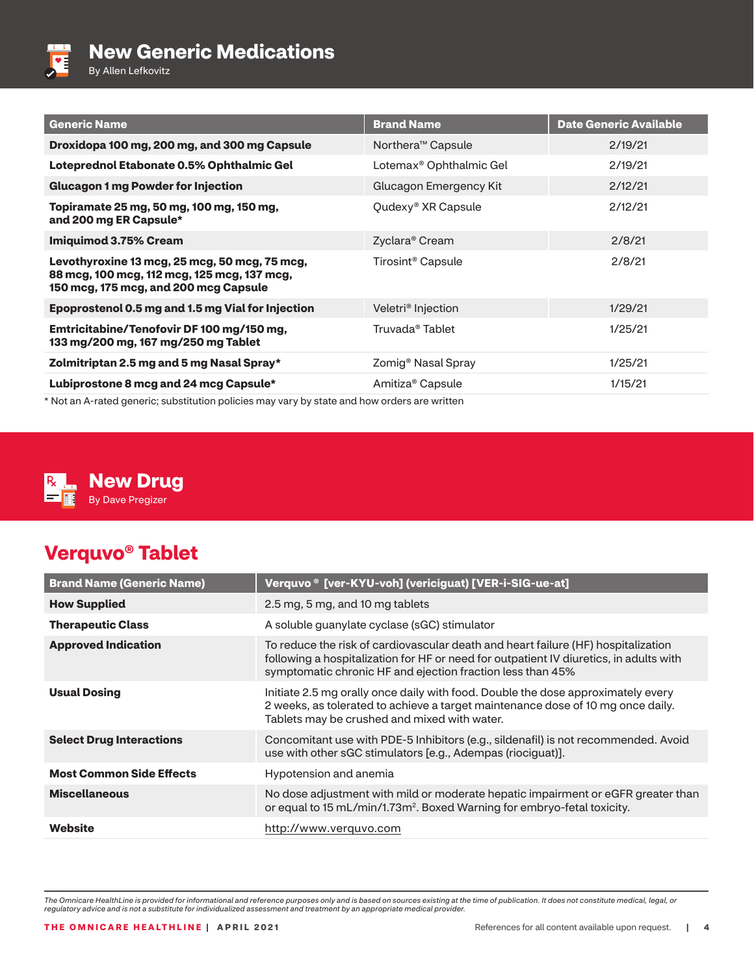

By Allen Lefkovitz

| <b>Generic Name</b>                                                                                                                   | <b>Brand Name</b>                   | <b>Date Generic Available</b> |
|---------------------------------------------------------------------------------------------------------------------------------------|-------------------------------------|-------------------------------|
| Droxidopa 100 mg, 200 mg, and 300 mg Capsule                                                                                          | Northera <sup>™</sup> Capsule       | 2/19/21                       |
| Loteprednol Etabonate 0.5% Ophthalmic Gel                                                                                             | Lotemax <sup>®</sup> Ophthalmic Gel | 2/19/21                       |
| <b>Glucagon 1 mg Powder for Injection</b>                                                                                             | Glucagon Emergency Kit              | 2/12/21                       |
| Topiramate 25 mg, 50 mg, 100 mg, 150 mg,<br>and 200 mg ER Capsule*                                                                    | Qudexy <sup>®</sup> XR Capsule      | 2/12/21                       |
| <b>Imiguimod 3.75% Cream</b>                                                                                                          | Zyclara <sup>®</sup> Cream          | 2/8/21                        |
| Levothyroxine 13 mcg, 25 mcg, 50 mcg, 75 mcg,<br>88 mcg, 100 mcg, 112 mcg, 125 mcg, 137 mcg,<br>150 mcg, 175 mcg, and 200 mcg Capsule | Tirosint <sup>®</sup> Capsule       | 2/8/21                        |
| Epoprostenol 0.5 mg and 1.5 mg Vial for Injection                                                                                     | Veletri <sup>®</sup> Injection      | 1/29/21                       |
| Emtricitabine/Tenofovir DF 100 mg/150 mg,<br>133 mg/200 mg, 167 mg/250 mg Tablet                                                      | Truvada <sup>®</sup> Tablet         | 1/25/21                       |
| Zolmitriptan 2.5 mg and 5 mg Nasal Spray*                                                                                             | Zomig <sup>®</sup> Nasal Spray      | 1/25/21                       |
| Lubiprostone 8 mcg and 24 mcg Capsule*                                                                                                | Amitiza <sup>®</sup> Capsule        | 1/15/21                       |
| * Not an A-rated generic; substitution policies may vary by state and bow orders are written                                          |                                     |                               |

Not an A-rated generic; substitution policies may vary by state and how orders are written



### **New Drug** By Dave Pregizer

## **Verquvo® Tablet**

| <b>Brand Name (Generic Name)</b> | Verquvo ® [ver-KYU-voh] (vericiguat) [VER-i-SIG-ue-at]                                                                                                                                                                                    |
|----------------------------------|-------------------------------------------------------------------------------------------------------------------------------------------------------------------------------------------------------------------------------------------|
| <b>How Supplied</b>              | 2.5 mg, 5 mg, and 10 mg tablets                                                                                                                                                                                                           |
| <b>Therapeutic Class</b>         | A soluble guanylate cyclase (sGC) stimulator                                                                                                                                                                                              |
| <b>Approved Indication</b>       | To reduce the risk of cardiovascular death and heart failure (HF) hospitalization<br>following a hospitalization for HF or need for outpatient IV diuretics, in adults with<br>symptomatic chronic HF and ejection fraction less than 45% |
| <b>Usual Dosing</b>              | Initiate 2.5 mg orally once daily with food. Double the dose approximately every<br>2 weeks, as tolerated to achieve a target maintenance dose of 10 mg once daily.<br>Tablets may be crushed and mixed with water.                       |
| <b>Select Drug Interactions</b>  | Concomitant use with PDE-5 Inhibitors (e.g., sildenafil) is not recommended. Avoid<br>use with other sGC stimulators [e.g., Adempas (riociguat)].                                                                                         |
| <b>Most Common Side Effects</b>  | Hypotension and anemia                                                                                                                                                                                                                    |
| <b>Miscellaneous</b>             | No dose adjustment with mild or moderate hepatic impairment or eGFR greater than<br>or equal to 15 mL/min/1.73m <sup>2</sup> . Boxed Warning for embryo-fetal toxicity.                                                                   |
| Website                          | http://www.verguvo.com                                                                                                                                                                                                                    |

*The Omnicare HealthLine is provided for informational and reference purposes only and is based on sources existing at the time of publication. It does not constitute medical, legal, or regulatory advice and is not a substitute for individualized assessment and treatment by an appropriate medical provider.*